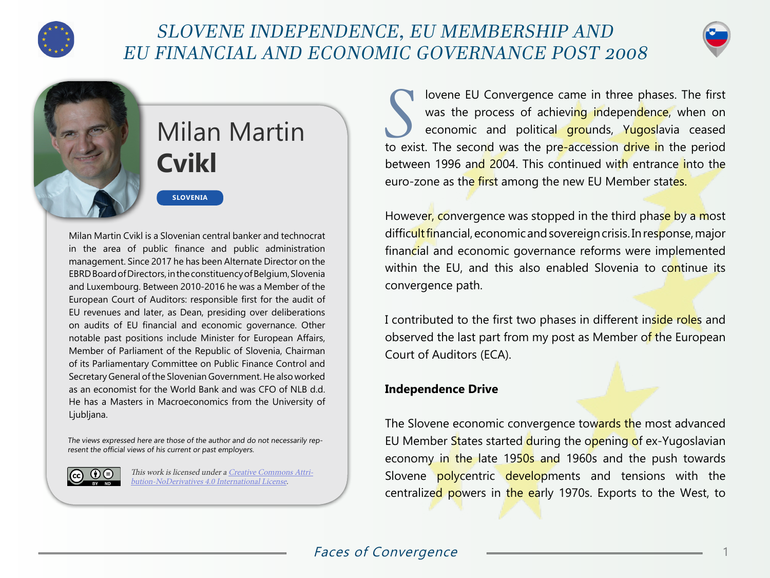

## SLOVENE INDEPENDENCE, EU MEMBERSHIP AND EU FINANCIAL AND ECONOMIC GOVERNANCE POST 2008





# Milan Martin **Cvikl**

**SLOVENIA**

Milan Martin Cvikl is a Slovenian central banker and technocrat in the area of public finance and public administration management. Since 2017 he has been Alternate Director on the EBRD Board of Directors, in the constituency of Belgium, Slovenia and Luxembourg. Between 2010-2016 he was a Member of the European Court of Auditors: responsible first for the audit of EU revenues and later, as Dean, presiding over deliberations on audits of EU financial and economic governance. Other notable past positions include Minister for European Affairs, Member of Parliament of the Republic of Slovenia, Chairman of its Parliamentary Committee on Public Finance Control and Secretary General of the Slovenian Government. He also worked as an economist for the World Bank and was CFO of NLB d.d. He has a Masters in Macroeconomics from the University of Ljubljana.

The views expressed here are those of the author and do not necessarily represent the official views of his current or past employers.



This work is licensed under a [Creative Commons Attri](https://creativecommons.org/licenses/by-nd/4.0/)[bution-NoDerivatives 4.0 International License](https://creativecommons.org/licenses/by-nd/4.0/).

I lovene EU Convergence came in three phases. The first<br>was the process of achieving independence, when on<br>economic and political grounds, Yugoslavia ceased was the process of achievi<mark>ng i</mark>ndepen<mark>dence</mark>, when on economic and political grounds, Yugoslavia ceased to exist. The second was the pre-accession drive in the period between 1996 and 2004. This continued with entrance into the euro-zone as the first among the new EU Member states.

However, convergence was stopped in the third phase by a most difficult financial, economic and sovereign crisis. In response, major financial and economic governance reforms were implemented within the EU, and this also enabled Slovenia to continue its convergence path.

I contributed to the first two phases in different inside roles and observed the last part from my post as Member of the European Court of Auditors (ECA).

#### **Independence Drive**

The Slovene economic convergence towards the most advanced EU Member States started during the opening of ex-Yugoslavian economy in the late 1950s and 1960s and the push towards Slovene polycentric developments and tensions with the centralized powers in the early 1970s. Exports to the West, to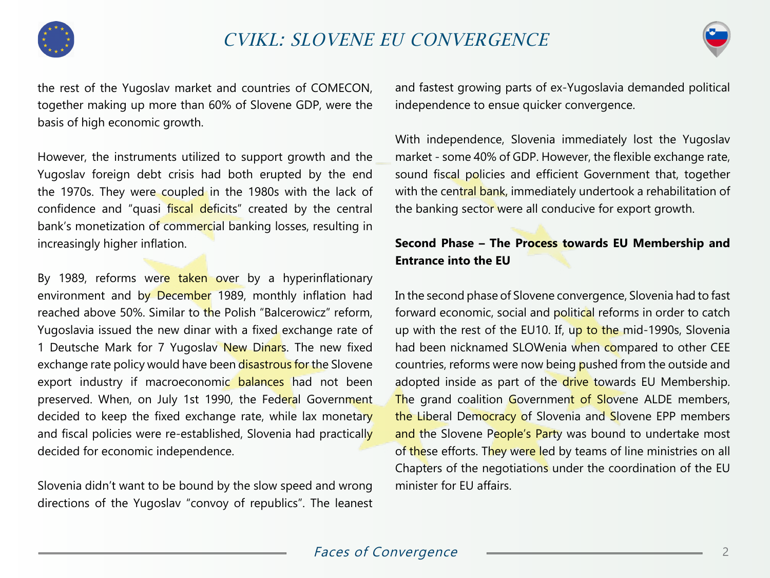



the rest of the Yugoslav market and countries of COMECON, together making up more than 60% of Slovene GDP, were the basis of high economic growth.

However, the instruments utilized to support growth and the Yugoslav foreign debt crisis had both erupted by the end the 1970s. They were coupled in the 1980s with the lack of confidence and "quasi fiscal deficits" created by the central bank's monetization of commercial banking losses, resulting in increasingly higher inflation.

By 1989, reforms were taken over by a hyperinflationary environment and by December 1989, monthly inflation had reached above 50%. Similar to the Polish "Balcerowicz" reform, Yugoslavia issued the new dinar with a fixed exchange rate of 1 Deutsche Mark for 7 Yugoslav New Dinars. The new fixed exchange rate policy would have been disastrous for the Slovene export industry if macroeconomic balances had not been preserved. When, on July 1st 1990, the Federal Government decided to keep the fixed exchange rate, while lax monetary and fiscal policies were re-established, Slovenia had practically decided for economic independence.

Slovenia didn't want to be bound by the slow speed and wrong directions of the Yugoslav "convoy of republics". The leanest and fastest growing parts of ex-Yugoslavia demanded political independence to ensue quicker convergence.

With independence, Slovenia immediately lost the Yugoslav market - some 40% of GDP. However, the flexible exchange rate, sound fiscal policies and efficient Government that, together with the central bank, immediately undertook a rehabilitation of the banking sector were all conducive for export growth.

### **Second Phase – The Process towards EU Membership and Entrance into the EU**

In the second phase of Slovene convergence, Slovenia had to fast forward economic, social and political reforms in order to catch up with the rest of the EU10. If, up to the mid-1990s, Slovenia had been nicknamed SLOWenia when compared to other CEE countries, reforms were now being pushed from the outside and adopted inside as part of the drive towards EU Membership. The grand coalition Government of Slovene ALDE members, the Liberal Democracy of Slovenia and Slovene EPP members and the Slovene People's Party was bound to undertake most of these efforts. They were led by teams of line ministries on all Chapters of the negotiations under the coordination of the EU minister for EU affairs.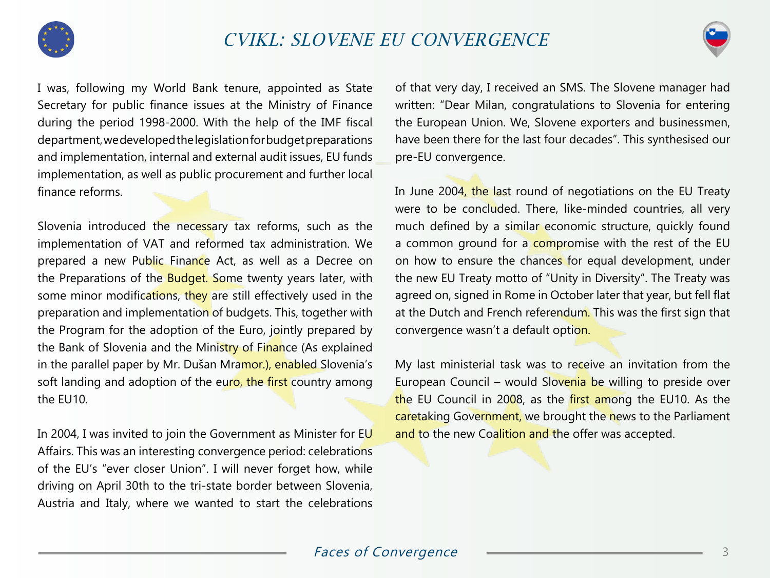



I was, following my World Bank tenure, appointed as State Secretary for public finance issues at the Ministry of Finance during the period 1998-2000. With the help of the IMF fiscal department, we developed the legislation for budget preparations and implementation, internal and external audit issues, EU funds implementation, as well as public procurement and further local finance reforms.

Slovenia introduced the necessary tax reforms, such as the implementation of VAT and reformed tax administration. We prepared a new Public Finance Act, as well as a Decree on the Preparations of the Budget. Some twenty years later, with some minor modifications, they are still effectively used in the preparation and implementation of budgets. This, together with the Program for the adoption of the Euro, jointly prepared by the Bank of Slovenia and the Ministry of Finance (As explained in the parallel paper by Mr. Dušan Mramor.), enabled Slovenia's soft landing and adoption of the euro, the first country among the EU10.

In 2004, I was invited to join the Government as Minister for EU Affairs. This was an interesting convergence period: celebrations of the EU's "ever closer Union". I will never forget how, while driving on April 30th to the tri-state border between Slovenia, Austria and Italy, where we wanted to start the celebrations

of that very day, I received an SMS. The Slovene manager had written: "Dear Milan, congratulations to Slovenia for entering the European Union. We, Slovene exporters and businessmen, have been there for the last four decades". This synthesised our pre-EU convergence.

In June 2004, the last round of negotiations on the EU Treaty were to be concluded. There, like-minded countries, all very much defined by a similar economic structure, quickly found a common ground for a compromise with the rest of the EU on how to ensure the chances for equal development, under the new EU Treaty motto of "Unity in Diversity". The Treaty was agreed on, signed in Rome in October later that year, but fell flat at the Dutch and French referendum. This was the first sign that convergence wasn't a default option.

My last ministerial task was to receive an invitation from the European Council – would Slovenia be willing to preside over the EU Council in 2008, as the first among the EU10. As the caretaking Government, we brought the news to the Parliament and to the new Coalition and the offer was accepted.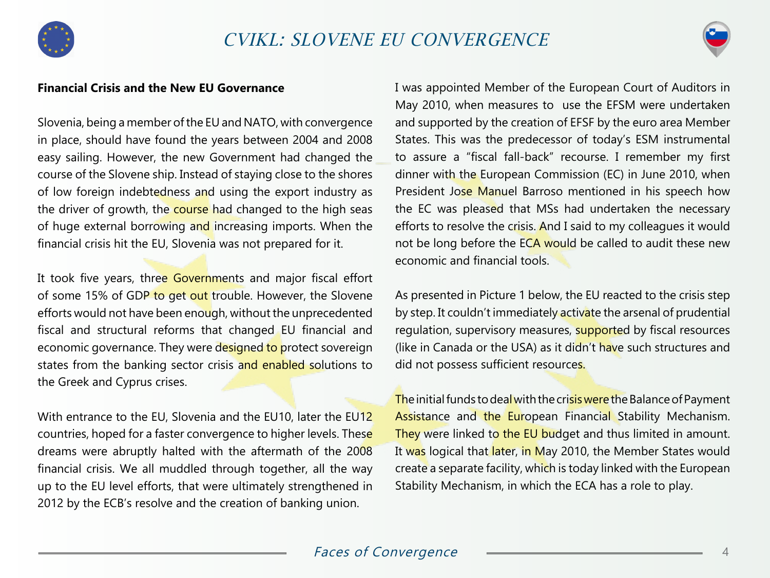



#### **Financial Crisis and the New EU Governance**

Slovenia, being a member of the EU and NATO, with convergence in place, should have found the years between 2004 and 2008 easy sailing. However, the new Government had changed the course of the Slovene ship. Instead of staying close to the shores of low foreign indebtedness and using the export industry as the driver of growth, the course had changed to the high seas of huge external borrowing and increasing imports. When the financial crisis hit the EU, Slovenia was not prepared for it.

It took five years, three Governments and major fiscal effort of some 15% of GDP to get out trouble. However, the Slovene efforts would not have been enough, without the unprecedented fiscal and structural reforms that changed EU financial and economic governance. They were designed to protect sovereign states from the banking sector crisis and enabled solutions to the Greek and Cyprus crises.

With entrance to the EU, Slovenia and the EU10, later the EU12 countries, hoped for a faster convergence to higher levels. These dreams were abruptly halted with the aftermath of the 2008 financial crisis. We all muddled through together, all the way up to the EU level efforts, that were ultimately strengthened in 2012 by the ECB's resolve and the creation of banking union.

I was appointed Member of the European Court of Auditors in May 2010, when measures to use the EFSM were undertaken and supported by the creation of EFSF by the euro area Member States. This was the predecessor of today's ESM instrumental to assure a "fiscal fall-back" recourse. I remember my first dinner with the European Commission (EC) in June 2010, when President Jose Manuel Barroso mentioned in his speech how the EC was pleased that MSs had undertaken the necessary efforts to resolve the crisis. And I said to my colleagues it would not be long before the ECA would be called to audit these new economic and financial tools.

As presented in Picture 1 below, the EU reacted to the crisis step by step. It couldn't immediately activate the arsenal of prudential regulation, supervisory measures, supported by fiscal resources (like in Canada or the USA) as it didn't have such structures and did not possess sufficient resources.

The initial funds to deal with the crisis were the Balance of Payment Assistance and the European Financial Stability Mechanism. They were linked to the EU budget and thus limited in amount. It was logical that later, in May 2010, the Member States would create a separate facility, which is today linked with the European Stability Mechanism, in which the ECA has a role to play.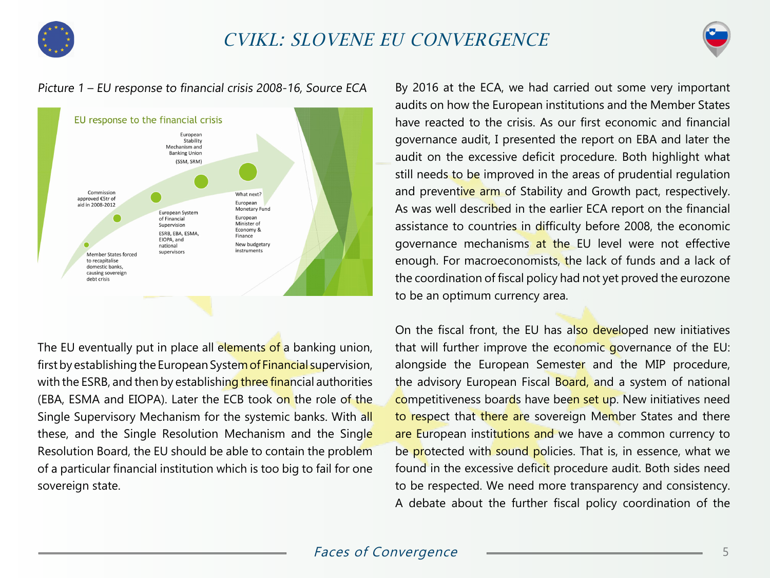



#### Picture 1 – EU response to financial crisis 2008-16, Source ECA



The EU eventually put in place all elements of a banking union, first by establishing the European System of Financial supervision, with the ESRB, and then by establishing three financial authorities (EBA, ESMA and EIOPA). Later the ECB took on the role of the Single Supervisory Mechanism for the systemic banks. With all these, and the Single Resolution Mechanism and the Single Resolution Board, the EU should be able to contain the problem of a particular financial institution which is too big to fail for one sovereign state.

By 2016 at the ECA, we had carried out some very important audits on how the European institutions and the Member States have reacted to the crisis. As our first economic and financial governance audit, I presented the report on EBA and later the audit on the excessive deficit procedure. Both highlight what still needs to be improved in the areas of prudential regulation and preventive arm of Stability and Growth pact, respectively. As was well described in the earlier ECA report on the financial assistance to countries in difficulty before 2008, the economic governance mechanisms at the EU level were not effective enough. For macroeconomists, the lack of funds and a lack of the coordination of fiscal policy had not yet proved the eurozone to be an optimum currency area.

On the fiscal front, the EU has also developed new initiatives that will further improve the economic governance of the EU: alongside the European Semester and the MIP procedure, the advisory European Fiscal Board, and a system of national competitiveness boards have been set up. New initiatives need to respect that there are sovereign Member States and there are European institutions and we have a common currency to be protected with sound policies. That is, in essence, what we found in the excessive deficit procedure audit. Both sides need to be respected. We need more transparency and consistency. A debate about the further fiscal policy coordination of the